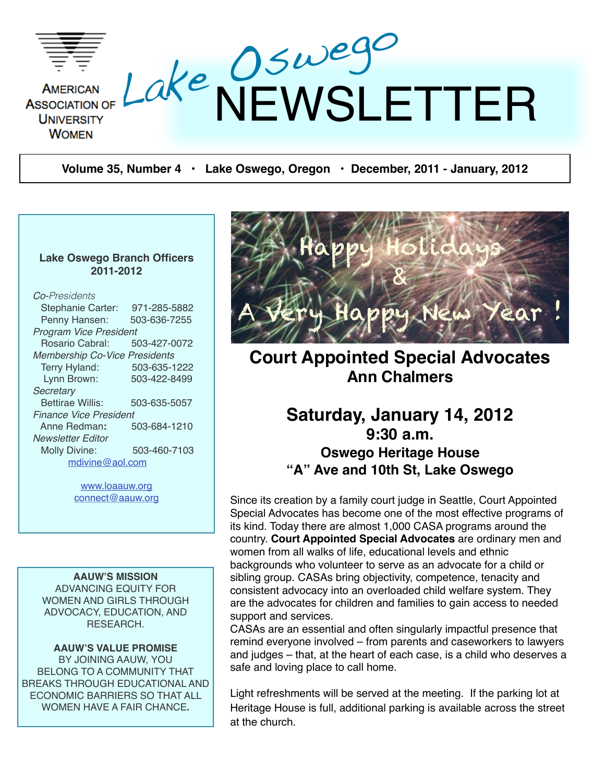

**Volume 35, Number 4 • Lake Oswego, Oregon • December, 2011 - January, 2012**

#### **Lake Oswego Branch Officers 2011-2012**

#### *Co-Presidents*

| Stephanie Carter:                    | 971-285-5882 |  |  |  |  |
|--------------------------------------|--------------|--|--|--|--|
| Penny Hansen:                        | 503-636-7255 |  |  |  |  |
| Program Vice President               |              |  |  |  |  |
| Rosario Cabral:                      | 503-427-0072 |  |  |  |  |
| <b>Membership Co-Vice Presidents</b> |              |  |  |  |  |
| Terry Hyland:                        | 503-635-1222 |  |  |  |  |
| Lynn Brown:                          | 503-422-8499 |  |  |  |  |
| Secretary                            |              |  |  |  |  |
| <b>Bettirae Willis:</b>              | 503-635-5057 |  |  |  |  |
| <b>Finance Vice President</b>        |              |  |  |  |  |
| Anne Redman:                         | 503-684-1210 |  |  |  |  |
| Newsletter Editor                    |              |  |  |  |  |
| <b>Molly Divine:</b>                 | 503-460-7103 |  |  |  |  |
| mdivine@aol.com                      |              |  |  |  |  |
|                                      |              |  |  |  |  |

[www.loaauw.org](http://www.loaauw.org) [connect@aauw.org](mailto:connect@aauw.org)

**AAUW'S MISSION** ADVANCING EQUITY FOR WOMEN AND GIRLS THROUGH ADVOCACY, EDUCATION, AND RESEARCH.

#### **AAUW'S VALUE PROMISE**

BY JOINING AAUW, YOU BELONG TO A COMMUNITY THAT BREAKS THROUGH EDUCATIONAL AND ECONOMIC BARRIERS SO THAT ALL WOMEN HAVE A FAIR CHANCE**.**



## **Court Appointed Special Advocates Ann Chalmers**

## **Saturday, January 14, 2012 9:30 a.m. Oswego Heritage House "A" Ave and 10th St, Lake Oswego**

Since its creation by a family court judge in Seattle, Court Appointed Special Advocates has become one of the most effective programs of its kind. Today there are almost 1,000 CASA programs around the country. **Court Appointed Special Advocates** are ordinary men and women from all walks of life, educational levels and ethnic backgrounds who volunteer to serve as an advocate for a child or sibling group. CASAs bring objectivity, competence, tenacity and consistent advocacy into an overloaded child welfare system. They are the advocates for children and families to gain access to needed support and services.

CASAs are an essential and often singularly impactful presence that remind everyone involved – from parents and caseworkers to lawyers and judges – that, at the heart of each case, is a child who deserves a safe and loving place to call home.

Light refreshments will be served at the meeting. If the parking lot at Heritage House is full, additional parking is available across the street at the church.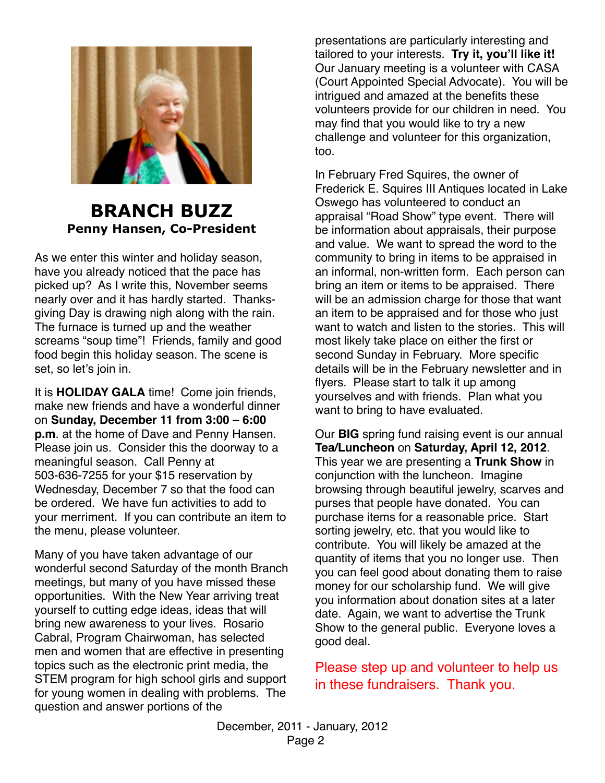

## **BRANCH BUZZ Penny Hansen, Co-President**

As we enter this winter and holiday season, have you already noticed that the pace has picked up? As I write this, November seems nearly over and it has hardly started. Thanksgiving Day is drawing nigh along with the rain. The furnace is turned up and the weather screams "soup time"! Friends, family and good food begin this holiday season. The scene is set, so let's join in.

It is **HOLIDAY GALA** time! Come join friends, make new friends and have a wonderful dinner on **Sunday, December 11 from 3:00 – 6:00 p.m**. at the home of Dave and Penny Hansen. Please join us. Consider this the doorway to a meaningful season. Call Penny at 503-636-7255 for your \$15 reservation by Wednesday, December 7 so that the food can be ordered. We have fun activities to add to your merriment. If you can contribute an item to the menu, please volunteer.

Many of you have taken advantage of our wonderful second Saturday of the month Branch meetings, but many of you have missed these opportunities. With the New Year arriving treat yourself to cutting edge ideas, ideas that will bring new awareness to your lives. Rosario Cabral, Program Chairwoman, has selected men and women that are effective in presenting topics such as the electronic print media, the STEM program for high school girls and support for young women in dealing with problems. The question and answer portions of the

presentations are particularly interesting and tailored to your interests. **Try it, you'll like it!** Our January meeting is a volunteer with CASA (Court Appointed Special Advocate). You will be intrigued and amazed at the benefits these volunteers provide for our children in need. You may find that you would like to try a new challenge and volunteer for this organization, too.

In February Fred Squires, the owner of Frederick E. Squires III Antiques located in Lake Oswego has volunteered to conduct an appraisal "Road Show" type event. There will be information about appraisals, their purpose and value. We want to spread the word to the community to bring in items to be appraised in an informal, non-written form. Each person can bring an item or items to be appraised. There will be an admission charge for those that want an item to be appraised and for those who just want to watch and listen to the stories. This will most likely take place on either the first or second Sunday in February. More specific details will be in the February newsletter and in flyers. Please start to talk it up among yourselves and with friends. Plan what you want to bring to have evaluated.

Our **BIG** spring fund raising event is our annual **Tea/Luncheon** on **Saturday, April 12, 2012**. This year we are presenting a **Trunk Show** in conjunction with the luncheon. Imagine browsing through beautiful jewelry, scarves and purses that people have donated. You can purchase items for a reasonable price. Start sorting jewelry, etc. that you would like to contribute. You will likely be amazed at the quantity of items that you no longer use. Then you can feel good about donating them to raise money for our scholarship fund. We will give you information about donation sites at a later date. Again, we want to advertise the Trunk Show to the general public. Everyone loves a good deal.

Please step up and volunteer to help us in these fundraisers. Thank you.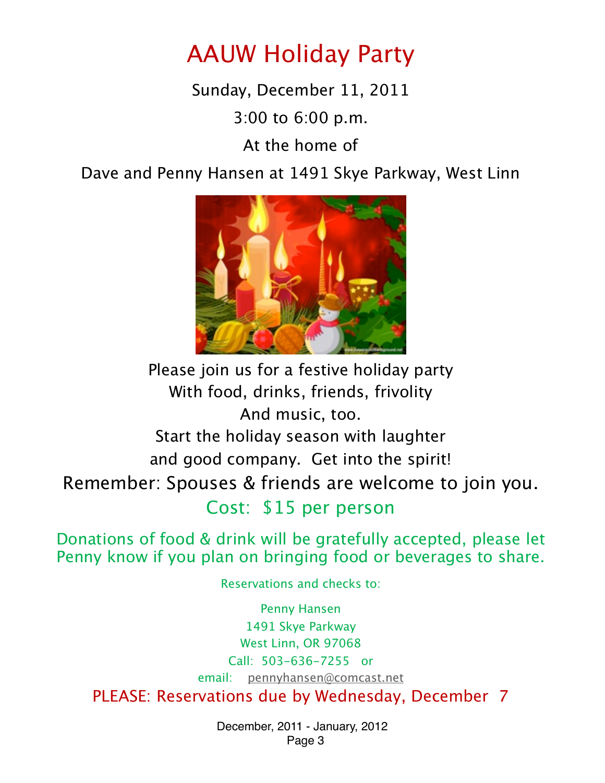# AAUW Holiday Party

Sunday, December 11, 2011

3:00 to 6:00 p.m.

At the home of

Dave and Penny Hansen at 1491 Skye Parkway, West Linn



Please join us for a festive holiday party With food, drinks, friends, frivolity And music, too. Start the holiday season with laughter and good company. Get into the spirit! Remember: Spouses & friends are welcome to join you. Cost: \$15 per person

Donations of food & drink will be gratefully accepted, please let Penny know if you plan on bringing food or beverages to share.

Reservations and checks to:

Penny Hansen 1491 Skye Parkway West Linn, OR 97068 Call: 503-636-7255 or email: [pennyhansen@comcast.net](mailto:pennyhansen@comcast.net) PLEASE: Reservations due by Wednesday, December 7

> December, 2011 - January, 2012 Page 3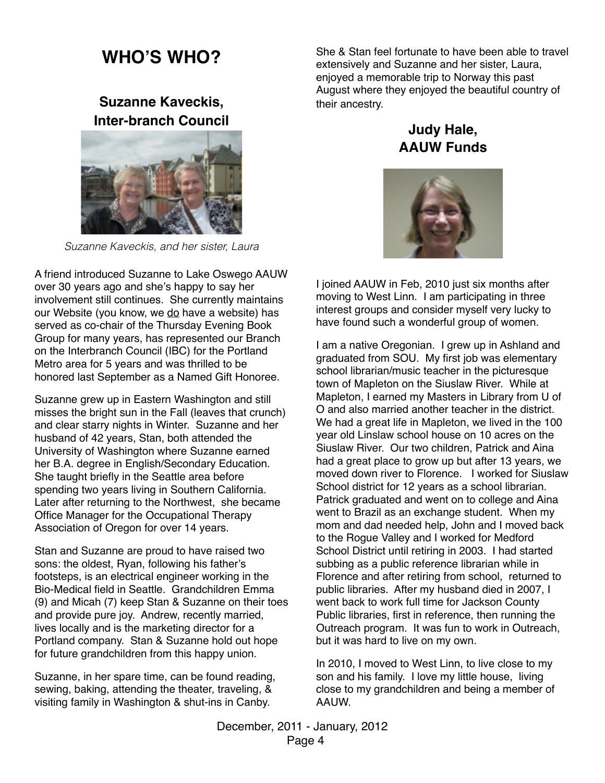## **WHO'S WHO?**

**Suzanne Kaveckis, Inter-branch Council**



*Suzanne Kaveckis, and her sister, Laura*

A friend introduced Suzanne to Lake Oswego AAUW over 30 years ago and she's happy to say her involvement still continues. She currently maintains our Website (you know, we do have a website) has served as co-chair of the Thursday Evening Book Group for many years, has represented our Branch on the Interbranch Council (IBC) for the Portland Metro area for 5 years and was thrilled to be honored last September as a Named Gift Honoree.

Suzanne grew up in Eastern Washington and still misses the bright sun in the Fall (leaves that crunch) and clear starry nights in Winter. Suzanne and her husband of 42 years, Stan, both attended the University of Washington where Suzanne earned her B.A. degree in English/Secondary Education. She taught briefly in the Seattle area before spending two years living in Southern California. Later after returning to the Northwest, she became Office Manager for the Occupational Therapy Association of Oregon for over 14 years.

Stan and Suzanne are proud to have raised two sons: the oldest, Ryan, following his father's footsteps, is an electrical engineer working in the Bio-Medical field in Seattle. Grandchildren Emma (9) and Micah (7) keep Stan & Suzanne on their toes and provide pure joy. Andrew, recently married, lives locally and is the marketing director for a Portland company. Stan & Suzanne hold out hope for future grandchildren from this happy union.

Suzanne, in her spare time, can be found reading, sewing, baking, attending the theater, traveling, & visiting family in Washington & shut-ins in Canby.

She & Stan feel fortunate to have been able to travel extensively and Suzanne and her sister, Laura, enjoyed a memorable trip to Norway this past August where they enjoyed the beautiful country of their ancestry.

## **Judy Hale, AAUW Funds**



I joined AAUW in Feb, 2010 just six months after moving to West Linn. I am participating in three interest groups and consider myself very lucky to have found such a wonderful group of women.

I am a native Oregonian. I grew up in Ashland and graduated from SOU. My first job was elementary school librarian/music teacher in the picturesque town of Mapleton on the Siuslaw River. While at Mapleton, I earned my Masters in Library from U of O and also married another teacher in the district. We had a great life in Mapleton, we lived in the 100 year old Linslaw school house on 10 acres on the Siuslaw River. Our two children, Patrick and Aina had a great place to grow up but after 13 years, we moved down river to Florence. I worked for Siuslaw School district for 12 years as a school librarian. Patrick graduated and went on to college and Aina went to Brazil as an exchange student. When my mom and dad needed help, John and I moved back to the Rogue Valley and I worked for Medford School District until retiring in 2003. I had started subbing as a public reference librarian while in Florence and after retiring from school, returned to public libraries. After my husband died in 2007, I went back to work full time for Jackson County Public libraries, first in reference, then running the Outreach program. It was fun to work in Outreach, but it was hard to live on my own.

In 2010, I moved to West Linn, to live close to my son and his family. I love my little house, living close to my grandchildren and being a member of AAUW.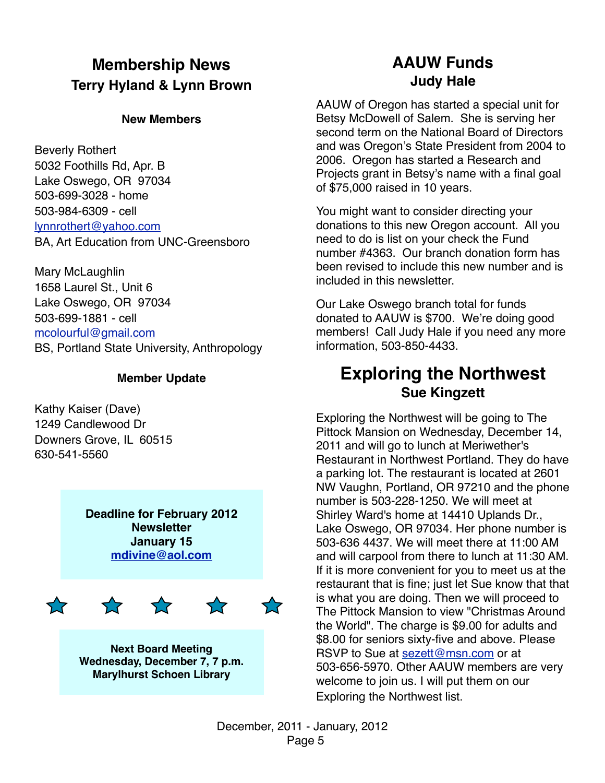## **Membership News Terry Hyland & Lynn Brown**

#### **New Members**

Beverly Rothert 5032 Foothills Rd, Apr. B Lake Oswego, OR 97034 503-699-3028 - home 503-984-6309 - cell [lynnrothert@yahoo.com](mailto:lynnrothert@yahoo.com) BA, Art Education from UNC-Greensboro

Mary McLaughlin 1658 Laurel St., Unit 6 Lake Oswego, OR 97034 503-699-1881 - cell [mcolourful@gmail.com](mailto:mcolourful@gmail.com) BS, Portland State University, Anthropology

#### **Member Update**

Kathy Kaiser (Dave) 1249 Candlewood Dr Downers Grove, IL 60515 630-541-5560

> **Deadline for February 2012 Newsletter January 15 [mdivine@aol.com](mailto:mdivine@aol.com)**



**Next Board Meeting Wednesday, December 7, 7 p.m. Marylhurst Schoen Library**

## **AAUW Funds Judy Hale**

AAUW of Oregon has started a special unit for Betsy McDowell of Salem. She is serving her second term on the National Board of Directors and was Oregon's State President from 2004 to 2006. Oregon has started a Research and Projects grant in Betsy's name with a final goal of \$75,000 raised in 10 years.

You might want to consider directing your donations to this new Oregon account. All you need to do is list on your check the Fund number #4363. Our branch donation form has been revised to include this new number and is included in this newsletter.

Our Lake Oswego branch total for funds donated to AAUW is \$700. We're doing good members! Call Judy Hale if you need any more information, 503-850-4433.

## **Exploring the Northwest Sue Kingzett**

Exploring the Northwest will be going to The Pittock Mansion on Wednesday, December 14, 2011 and will go to lunch at Meriwether's Restaurant in Northwest Portland. They do have a parking lot. The restaurant is located at 2601 NW Vaughn, Portland, OR 97210 and the phone number is 503-228-1250. We will meet at Shirley Ward's home at 14410 Uplands Dr., Lake Oswego, OR 97034. Her phone number is 503-636 4437. We will meet there at 11:00 AM and will carpool from there to lunch at 11:30 AM. If it is more convenient for you to meet us at the restaurant that is fine; just let Sue know that that is what you are doing. Then we will proceed to The Pittock Mansion to view "Christmas Around the World". The charge is \$9.00 for adults and \$8.00 for seniors sixty-five and above. Please RSVP to Sue at [sezett@msn.com](mailto:sezett@msn.com) or at 503-656-5970. Other AAUW members are very welcome to join us. I will put them on our Exploring the Northwest list.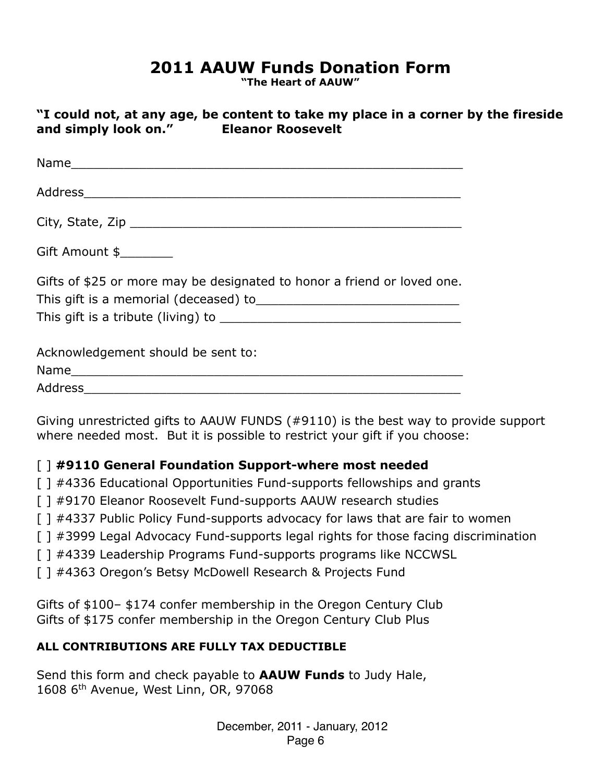## **2011 AAUW Funds Donation Form**

**"The Heart of AAUW"**

|                      | "I could not, at any age, be content to take my place in a corner by the fireside |
|----------------------|-----------------------------------------------------------------------------------|
| and simply look on." | <b>Eleanor Roosevelt</b>                                                          |

| Gift Amount \$                                                          |
|-------------------------------------------------------------------------|
| Gifts of \$25 or more may be designated to honor a friend or loved one. |
| Acknowledgement should be sent to:                                      |
|                                                                         |
| Address                                                                 |

Giving unrestricted gifts to AAUW FUNDS (#9110) is the best way to provide support where needed most. But it is possible to restrict your gift if you choose:

#### [ ] **#9110 General Foundation Support-where most needed**

- [] #4336 Educational Opportunities Fund-supports fellowships and grants
- [ ] #9170 Eleanor Roosevelt Fund-supports AAUW research studies
- [ ] #4337 Public Policy Fund-supports advocacy for laws that are fair to women
- [ ] #3999 Legal Advocacy Fund-supports legal rights for those facing discrimination
- [] #4339 Leadership Programs Fund-supports programs like NCCWSL
- [ ] #4363 Oregon's Betsy McDowell Research & Projects Fund

Gifts of \$100– \$174 confer membership in the Oregon Century Club Gifts of \$175 confer membership in the Oregon Century Club Plus

#### **ALL CONTRIBUTIONS ARE FULLY TAX DEDUCTIBLE**

Send this form and check payable to **AAUW Funds** to Judy Hale, 1608 6th Avenue, West Linn, OR, 97068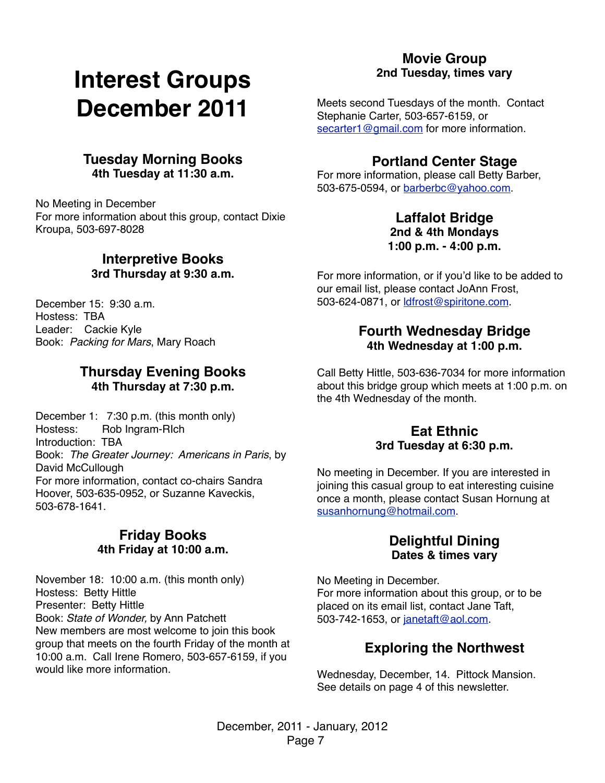# **Interest Groups December 2011**

#### **Tuesday Morning Books 4th Tuesday at 11:30 a.m.**

No Meeting in December For more information about this group, contact Dixie Kroupa, 503-697-8028

#### **Interpretive Books 3rd Thursday at 9:30 a.m.**

December 15: 9:30 a.m. Hostess: TBA Leader: Cackie Kyle Book: *Packing for Mars*, Mary Roach

#### **Thursday Evening Books 4th Thursday at 7:30 p.m.**

December 1: 7:30 p.m. (this month only) Hostess: Rob Ingram-RIch Introduction: TBA Book: *The Greater Journey: Americans in Paris*, by David McCullough For more information, contact co-chairs Sandra Hoover, 503-635-0952, or Suzanne Kaveckis, 503-678-1641.

#### **Friday Books 4th Friday at 10:00 a.m.**

November 18: 10:00 a.m. (this month only) Hostess: Betty Hittle Presenter: Betty Hittle Book: *State of Wonder,* by Ann Patchett New members are most welcome to join this book group that meets on the fourth Friday of the month at 10:00 a.m. Call Irene Romero, 503-657-6159, if you would like more information.

#### **Movie Group 2nd Tuesday, times vary**

Meets second Tuesdays of the month. Contact Stephanie Carter, 503-657-6159, or [secarter1@gmail.com](mailto:secarter1@gmail.com) for more information.

#### **Portland Center Stage**

For more information, please call Betty Barber, 503-675-0594, or [barberbc@yahoo.com.](mailto:barberbc@yahoo.com)

#### **Laffalot Bridge 2nd & 4th Mondays 1:00 p.m. - 4:00 p.m.**

For more information, or if you'd like to be added to our email list, please contact JoAnn Frost, 503-624-0871, or [ldfrost@spiritone.com.](mailto:ldfrost@spiritone.com)

#### **Fourth Wednesday Bridge 4th Wednesday at 1:00 p.m.**

Call Betty Hittle, 503-636-7034 for more information about this bridge group which meets at 1:00 p.m. on the 4th Wednesday of the month.

#### **Eat Ethnic 3rd Tuesday at 6:30 p.m.**

No meeting in December. If you are interested in joining this casual group to eat interesting cuisine once a month, please contact Susan Hornung at [susanhornung@hotmail.com.](mailto:susanhornung@hotmail.com)

#### **Delightful Dining Dates & times vary**

No Meeting in December. For more information about this group, or to be placed on its email list, contact Jane Taft, 503-742-1653, or [janetaft@aol.com.](mailto:janetaft@aol.com)

## **Exploring the Northwest**

Wednesday, December, 14. Pittock Mansion. See details on page 4 of this newsletter.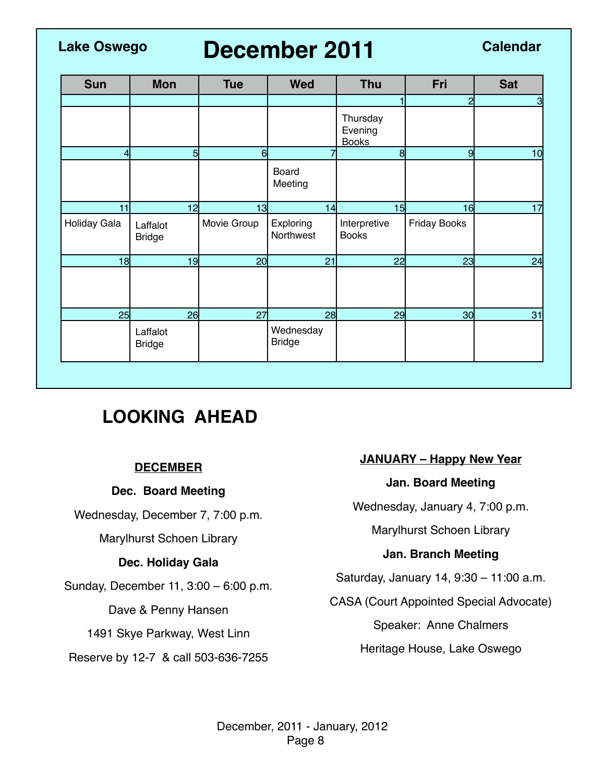## **December 2011 Lake Oswego Calendar**

| <b>Sun</b>   | <b>Mon</b>                | <b>Tue</b>  | <b>Wed</b>                 | <b>Thu</b>                          | Fri                 | <b>Sat</b>      |
|--------------|---------------------------|-------------|----------------------------|-------------------------------------|---------------------|-----------------|
|              |                           |             |                            |                                     | 2                   | 3               |
|              |                           |             |                            | Thursday<br>Evening<br><b>Books</b> |                     |                 |
|              | 5                         | 6           |                            | 8                                   | 9                   | 10 <sub>l</sub> |
|              |                           |             | Board<br>Meeting           |                                     |                     |                 |
| 11           | 12                        | 13          | 14                         | 15                                  | 16                  | 17              |
| Holiday Gala | Laffalot<br><b>Bridge</b> | Movie Group | Exploring<br>Northwest     | Interpretive<br><b>Books</b>        | <b>Friday Books</b> |                 |
| 18           | 19                        | 20          | 21                         | 22                                  | 23                  | 24              |
|              |                           |             |                            |                                     |                     |                 |
| 25           | 26                        | 27          | 28                         | 29                                  | 30 <sub>l</sub>     | 31              |
|              | Laffalot<br><b>Bridge</b> |             | Wednesday<br><b>Bridge</b> |                                     |                     |                 |

## **LOOKING AHEAD**

#### **DECEMBER**

#### **Dec. Board Meeting**

Wednesday, December 7, 7:00 p.m.

Marylhurst Schoen Library

#### **Dec. Holiday Gala**

Sunday, December 11, 3:00 – 6:00 p.m.

Dave & Penny Hansen

1491 Skye Parkway, West Linn

Reserve by 12-7 & call 503-636-7255

#### **JANUARY – Happy New Year**

#### **Jan. Board Meeting**

Wednesday, January 4, 7:00 p.m.

Marylhurst Schoen Library

#### **Jan. Branch Meeting**

Saturday, January 14, 9:30 – 11:00 a.m.

CASA (Court Appointed Special Advocate)

Speaker: Anne Chalmers

Heritage House, Lake Oswego

December, 2011 - January, 2012 Page 8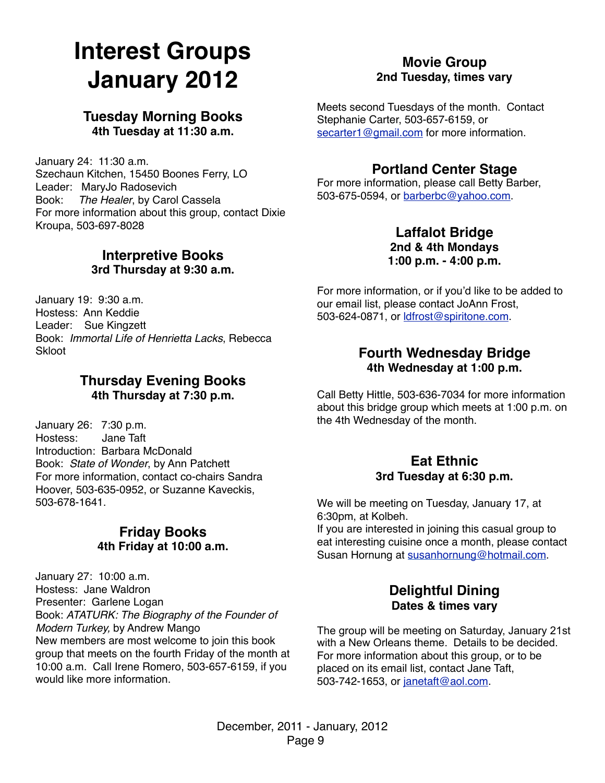# **Interest Groups January 2012**

#### **Tuesday Morning Books 4th Tuesday at 11:30 a.m.**

January 24: 11:30 a.m. Szechaun Kitchen, 15450 Boones Ferry, LO Leader: MaryJo Radosevich Book: *The Healer*, by Carol Cassela For more information about this group, contact Dixie Kroupa, 503-697-8028

#### **Interpretive Books 3rd Thursday at 9:30 a.m.**

January 19: 9:30 a.m. Hostess: Ann Keddie Leader: Sue Kingzett Book: *Immortal Life of Henrietta Lacks*, Rebecca **Skloot** 

#### **Thursday Evening Books 4th Thursday at 7:30 p.m.**

January 26: 7:30 p.m. Hostess: Introduction: Barbara McDonald Book: *State of Wonder*, by Ann Patchett For more information, contact co-chairs Sandra Hoover, 503-635-0952, or Suzanne Kaveckis, 503-678-1641.

#### **Friday Books 4th Friday at 10:00 a.m.**

January 27: 10:00 a.m. Hostess: Jane Waldron Presenter: Garlene Logan Book: *ATATURK: The Biography of the Founder of Modern Turkey,* by Andrew Mango New members are most welcome to join this book group that meets on the fourth Friday of the month at 10:00 a.m. Call Irene Romero, 503-657-6159, if you would like more information.

#### **Movie Group 2nd Tuesday, times vary**

Meets second Tuesdays of the month. Contact Stephanie Carter, 503-657-6159, or [secarter1@gmail.com](mailto:secarter1@gmail.com) for more information.

#### **Portland Center Stage**

For more information, please call Betty Barber, 503-675-0594, or [barberbc@yahoo.com.](mailto:barberbc@yahoo.com)

#### **Laffalot Bridge 2nd & 4th Mondays 1:00 p.m. - 4:00 p.m.**

For more information, or if you'd like to be added to our email list, please contact JoAnn Frost, 503-624-0871, or [ldfrost@spiritone.com.](mailto:ldfrost@spiritone.com)

#### **Fourth Wednesday Bridge 4th Wednesday at 1:00 p.m.**

Call Betty Hittle, 503-636-7034 for more information about this bridge group which meets at 1:00 p.m. on the 4th Wednesday of the month.

#### **Eat Ethnic 3rd Tuesday at 6:30 p.m.**

We will be meeting on Tuesday, January 17, at 6:30pm, at Kolbeh.

If you are interested in joining this casual group to eat interesting cuisine once a month, please contact Susan Hornung at [susanhornung@hotmail.com.](mailto:susanhornung@hotmail.com)

#### **Delightful Dining Dates & times vary**

The group will be meeting on Saturday, January 21st with a New Orleans theme. Details to be decided. For more information about this group, or to be placed on its email list, contact Jane Taft, 503-742-1653, or [janetaft@aol.com.](mailto:janetaft@aol.com)